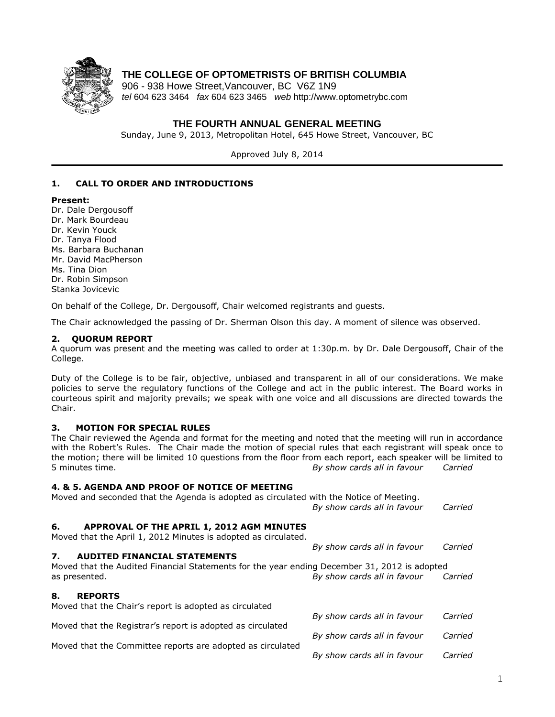

# **THE COLLEGE OF OPTOMETRISTS OF BRITISH COLUMBIA**

906 - 938 Howe Street,Vancouver, BC V6Z 1N9 *tel* 604 623 3464 *fax* 604 623 3465 *web* http://www.optometrybc.com

## **THE FOURTH ANNUAL GENERAL MEETING**

Sunday, June 9, 2013, Metropolitan Hotel, 645 Howe Street, Vancouver, BC

Approved July 8, 2014

## **1. CALL TO ORDER AND INTRODUCTIONS**

#### **Present:**

Dr. Dale Dergousoff Dr. Mark Bourdeau Dr. Kevin Youck Dr. Tanya Flood Ms. Barbara Buchanan Mr. David MacPherson Ms. Tina Dion Dr. Robin Simpson Stanka Jovicevic

On behalf of the College, Dr. Dergousoff, Chair welcomed registrants and guests.

The Chair acknowledged the passing of Dr. Sherman Olson this day. A moment of silence was observed.

## **2. QUORUM REPORT**

A quorum was present and the meeting was called to order at 1:30p.m. by Dr. Dale Dergousoff, Chair of the College.

Duty of the College is to be fair, objective, unbiased and transparent in all of our considerations. We make policies to serve the regulatory functions of the College and act in the public interest. The Board works in courteous spirit and majority prevails; we speak with one voice and all discussions are directed towards the Chair.

### **3. MOTION FOR SPECIAL RULES**

The Chair reviewed the Agenda and format for the meeting and noted that the meeting will run in accordance with the Robert's Rules. The Chair made the motion of special rules that each registrant will speak once to the motion; there will be limited 10 questions from the floor from each report, each speaker will be limited to 5 minutes time. *By show cards all in favour Carried*

### **4. & 5. AGENDA AND PROOF OF NOTICE OF MEETING**

Moved and seconded that the Agenda is adopted as circulated with the Notice of Meeting.

*By show cards all in favour Carried*

*By show cards all in favour Carried*

### **6. APPROVAL OF THE APRIL 1, 2012 AGM MINUTES**

Moved that the April 1, 2012 Minutes is adopted as circulated.

### **7. AUDITED FINANCIAL STATEMENTS**

Moved that the Audited Financial Statements for the year ending December 31, 2012 is adopted as presented. *By show cards all in favour Carried*

#### **8. REPORTS** d that the Chair's report is adopted as circulated

| Proved that the Chair's report is adopted as circulated    |                             |         |
|------------------------------------------------------------|-----------------------------|---------|
|                                                            | By show cards all in favour | Carried |
| Moved that the Registrar's report is adopted as circulated |                             |         |
|                                                            | By show cards all in favour | Carried |
| Moved that the Committee reports are adopted as circulated |                             |         |
|                                                            | By show cards all in favour | Carried |